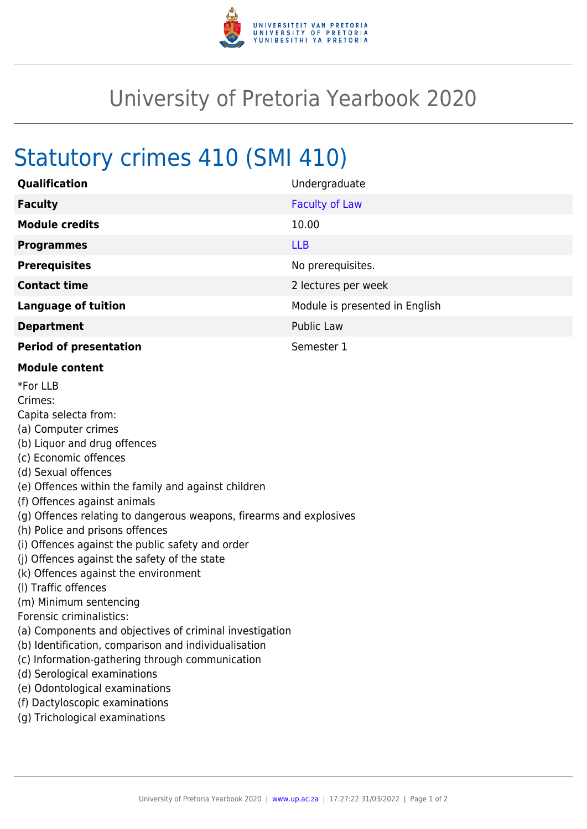

## University of Pretoria Yearbook 2020

## Statutory crimes 410 (SMI 410)

| Qualification                                                                                                                                                                                                                                                                                                                                                                                                                                                                                                                                                                                                                                                                                                                                                                                                                                           | Undergraduate                  |
|---------------------------------------------------------------------------------------------------------------------------------------------------------------------------------------------------------------------------------------------------------------------------------------------------------------------------------------------------------------------------------------------------------------------------------------------------------------------------------------------------------------------------------------------------------------------------------------------------------------------------------------------------------------------------------------------------------------------------------------------------------------------------------------------------------------------------------------------------------|--------------------------------|
| <b>Faculty</b>                                                                                                                                                                                                                                                                                                                                                                                                                                                                                                                                                                                                                                                                                                                                                                                                                                          | <b>Faculty of Law</b>          |
| <b>Module credits</b>                                                                                                                                                                                                                                                                                                                                                                                                                                                                                                                                                                                                                                                                                                                                                                                                                                   | 10.00                          |
| <b>Programmes</b>                                                                                                                                                                                                                                                                                                                                                                                                                                                                                                                                                                                                                                                                                                                                                                                                                                       | <b>LLB</b>                     |
| <b>Prerequisites</b>                                                                                                                                                                                                                                                                                                                                                                                                                                                                                                                                                                                                                                                                                                                                                                                                                                    | No prerequisites.              |
| <b>Contact time</b>                                                                                                                                                                                                                                                                                                                                                                                                                                                                                                                                                                                                                                                                                                                                                                                                                                     | 2 lectures per week            |
| <b>Language of tuition</b>                                                                                                                                                                                                                                                                                                                                                                                                                                                                                                                                                                                                                                                                                                                                                                                                                              | Module is presented in English |
| <b>Department</b>                                                                                                                                                                                                                                                                                                                                                                                                                                                                                                                                                                                                                                                                                                                                                                                                                                       | <b>Public Law</b>              |
| <b>Period of presentation</b>                                                                                                                                                                                                                                                                                                                                                                                                                                                                                                                                                                                                                                                                                                                                                                                                                           | Semester 1                     |
| <b>Module content</b>                                                                                                                                                                                                                                                                                                                                                                                                                                                                                                                                                                                                                                                                                                                                                                                                                                   |                                |
| *For LLB<br>Crimes:<br>Capita selecta from:<br>(a) Computer crimes<br>(b) Liquor and drug offences<br>(c) Economic offences<br>(d) Sexual offences<br>(e) Offences within the family and against children<br>(f) Offences against animals<br>(g) Offences relating to dangerous weapons, firearms and explosives<br>(h) Police and prisons offences<br>(i) Offences against the public safety and order<br>(i) Offences against the safety of the state<br>(k) Offences against the environment<br>(I) Traffic offences<br>(m) Minimum sentencing<br>Forensic criminalistics:<br>(a) Components and objectives of criminal investigation<br>(b) Identification, comparison and individualisation<br>(c) Information-gathering through communication<br>(d) Serological examinations<br>(e) Odontological examinations<br>(f) Dactyloscopic examinations |                                |

(g) Trichological examinations